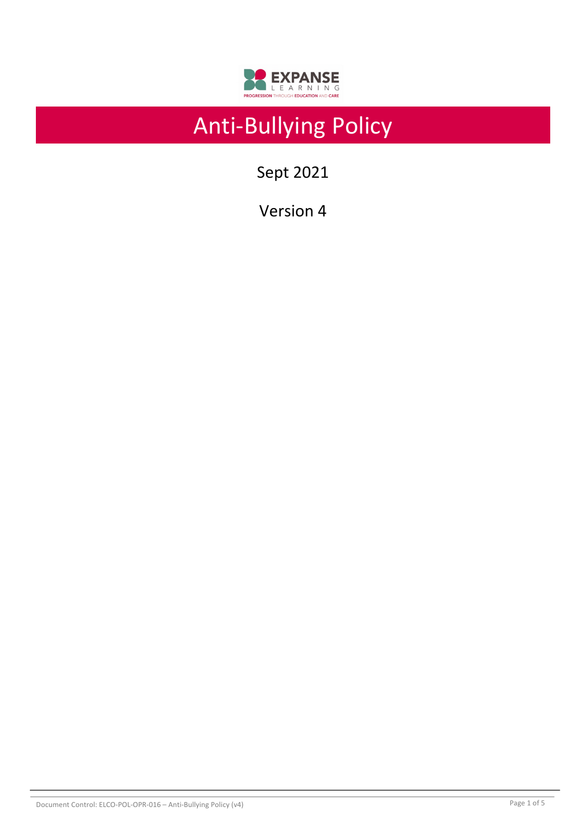

# Anti-Bullying Policy

Sept 2021

Version 4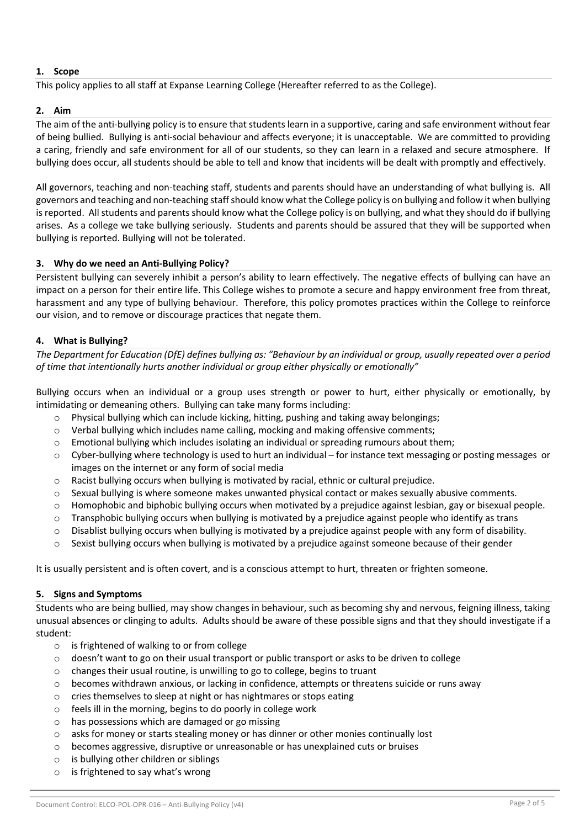# **1. Scope**

This policy applies to all staff at Expanse Learning College (Hereafter referred to as the College).

## **2. Aim**

The aim of the anti-bullying policy is to ensure that students learn in a supportive, caring and safe environment without fear of being bullied. Bullying is anti-social behaviour and affects everyone; it is unacceptable. We are committed to providing a caring, friendly and safe environment for all of our students, so they can learn in a relaxed and secure atmosphere. If bullying does occur, all students should be able to tell and know that incidents will be dealt with promptly and effectively.

All governors, teaching and non-teaching staff, students and parents should have an understanding of what bullying is. All governors and teaching and non-teaching staff should know what the College policy is on bullying and follow it when bullying is reported. All students and parents should know what the College policy is on bullying, and what they should do if bullying arises. As a college we take bullying seriously. Students and parents should be assured that they will be supported when bullying is reported. Bullying will not be tolerated.

## **3. Why do we need an Anti-Bullying Policy?**

Persistent bullying can severely inhibit a person's ability to learn effectively. The negative effects of bullying can have an impact on a person for their entire life. This College wishes to promote a secure and happy environment free from threat, harassment and any type of bullying behaviour. Therefore, this policy promotes practices within the College to reinforce our vision, and to remove or discourage practices that negate them.

## **4. What is Bullying?**

*The Department for Education (DfE) defines bullying as: "Behaviour by an individual or group, usually repeated over a period of time that intentionally hurts another individual or group either physically or emotionally"*

Bullying occurs when an individual or a group uses strength or power to hurt, either physically or emotionally, by intimidating or demeaning others. Bullying can take many forms including:

- $\circ$  Physical bullying which can include kicking, hitting, pushing and taking away belongings;
- $\circ$  Verbal bullying which includes name calling, mocking and making offensive comments;
- $\circ$  Emotional bullying which includes isolating an individual or spreading rumours about them;
- $\circ$  Cyber-bullying where technology is used to hurt an individual for instance text messaging or posting messages or images on the internet or any form of social media
- $\circ$  Racist bullying occurs when bullying is motivated by racial, ethnic or cultural prejudice.
- $\circ$  Sexual bullying is where someone makes unwanted physical contact or makes sexually abusive comments.
- $\circ$  Homophobic and biphobic bullying occurs when motivated by a prejudice against lesbian, gay or bisexual people.
- $\circ$  Transphobic bullying occurs when bullying is motivated by a prejudice against people who identify as trans
- $\circ$  Disablist bullying occurs when bullying is motivated by a prejudice against people with any form of disability.
- $\circ$  Sexist bullying occurs when bullying is motivated by a prejudice against someone because of their gender

It is usually persistent and is often covert, and is a conscious attempt to hurt, threaten or frighten someone.

## **5. Signs and Symptoms**

Students who are being bullied, may show changes in behaviour, such as becoming shy and nervous, feigning illness, taking unusual absences or clinging to adults. Adults should be aware of these possible signs and that they should investigate if a student:

- o is frightened of walking to or from college
- $\circ$  doesn't want to go on their usual transport or public transport or asks to be driven to college
- o changes their usual routine, is unwilling to go to college, begins to truant
- $\circ$  becomes withdrawn anxious, or lacking in confidence, attempts or threatens suicide or runs away
- o cries themselves to sleep at night or has nightmares or stops eating
- o feels ill in the morning, begins to do poorly in college work
- o has possessions which are damaged or go missing
- $\circ$  asks for money or starts stealing money or has dinner or other monies continually lost
- o becomes aggressive, disruptive or unreasonable or has unexplained cuts or bruises
- o is bullying other children or siblings
- o is frightened to say what's wrong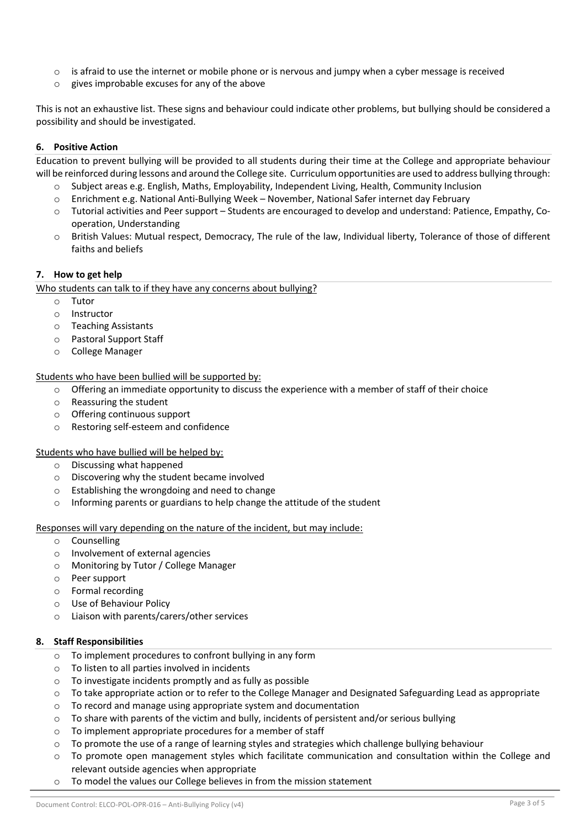- $\circ$  is afraid to use the internet or mobile phone or is nervous and jumpy when a cyber message is received
- o gives improbable excuses for any of the above

This is not an exhaustive list. These signs and behaviour could indicate other problems, but bullying should be considered a possibility and should be investigated.

# **6. Positive Action**

Education to prevent bullying will be provided to all students during their time at the College and appropriate behaviour will be reinforced during lessons and around the College site. Curriculum opportunities are used to address bullying through:

- Subject areas e.g. English, Maths, Employability, Independent Living, Health, Community Inclusion
- o Enrichment e.g. National Anti-Bullying Week November, National Safer internet day February
- o Tutorial activities and Peer support Students are encouraged to develop and understand: Patience, Empathy, Cooperation, Understanding
- o British Values: Mutual respect, Democracy, The rule of the law, Individual liberty, Tolerance of those of different faiths and beliefs

## **7. How to get help**

Who students can talk to if they have any concerns about bullying?

- o Tutor
- o Instructor
- o Teaching Assistants
- o Pastoral Support Staff
- o College Manager

Students who have been bullied will be supported by:

- $\circ$  Offering an immediate opportunity to discuss the experience with a member of staff of their choice
- o Reassuring the student
- o Offering continuous support
- o Restoring self-esteem and confidence

Students who have bullied will be helped by:

- o Discussing what happened
- o Discovering why the student became involved
- o Establishing the wrongdoing and need to change
- o Informing parents or guardians to help change the attitude of the student

Responses will vary depending on the nature of the incident, but may include:

- o Counselling
- o Involvement of external agencies
- o Monitoring by Tutor / College Manager
- o Peer support
- o Formal recording
- o Use of Behaviour Policy
- o Liaison with parents/carers/other services

## **8. Staff Responsibilities**

- o To implement procedures to confront bullying in any form
- o To listen to all parties involved in incidents
- o To investigate incidents promptly and as fully as possible
- o To take appropriate action or to refer to the College Manager and Designated Safeguarding Lead as appropriate
- $\circ$  To record and manage using appropriate system and documentation
- $\circ$  To share with parents of the victim and bully, incidents of persistent and/or serious bullying
- o To implement appropriate procedures for a member of staff
- $\circ$  To promote the use of a range of learning styles and strategies which challenge bullying behaviour
- $\circ$  To promote open management styles which facilitate communication and consultation within the College and relevant outside agencies when appropriate
- o To model the values our College believes in from the mission statement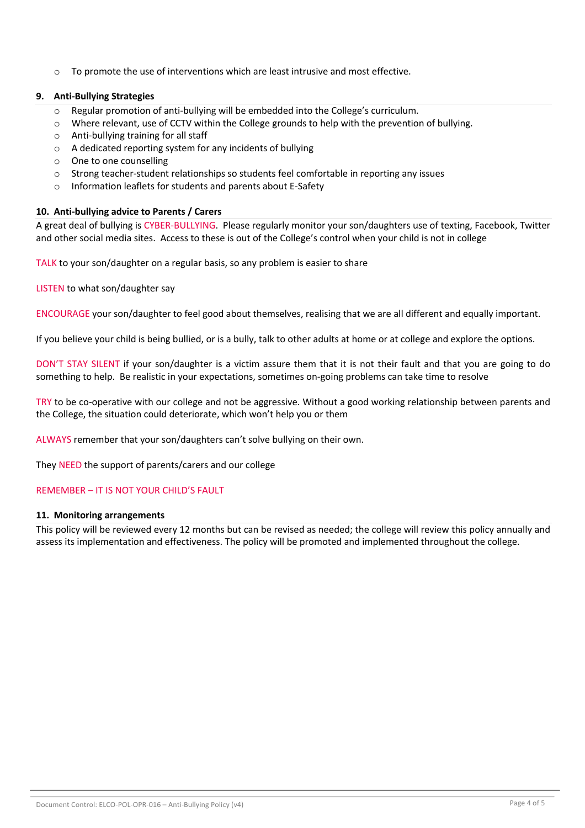$\circ$  To promote the use of interventions which are least intrusive and most effective.

# **9. Anti-Bullying Strategies**

- $\circ$  Regular promotion of anti-bullying will be embedded into the College's curriculum.
- o Where relevant, use of CCTV within the College grounds to help with the prevention of bullying.
- o Anti-bullying training for all staff
- o A dedicated reporting system for any incidents of bullying
- o One to one counselling
- $\circ$  Strong teacher-student relationships so students feel comfortable in reporting any issues
- o Information leaflets for students and parents about E-Safety

## **10. Anti-bullying advice to Parents / Carers**

A great deal of bullying is CYBER-BULLYING. Please regularly monitor your son/daughters use of texting, Facebook, Twitter and other social media sites. Access to these is out of the College's control when your child is not in college

TALK to your son/daughter on a regular basis, so any problem is easier to share

LISTEN to what son/daughter say

ENCOURAGE your son/daughter to feel good about themselves, realising that we are all different and equally important.

If you believe your child is being bullied, or is a bully, talk to other adults at home or at college and explore the options.

DON'T STAY SILENT if your son/daughter is a victim assure them that it is not their fault and that you are going to do something to help. Be realistic in your expectations, sometimes on-going problems can take time to resolve

TRY to be co-operative with our college and not be aggressive. Without a good working relationship between parents and the College, the situation could deteriorate, which won't help you or them

ALWAYS remember that your son/daughters can't solve bullying on their own.

They NEED the support of parents/carers and our college

# REMEMBER – IT IS NOT YOUR CHILD'S FAULT

#### **11. Monitoring arrangements**

This policy will be reviewed every 12 months but can be revised as needed; the college will review this policy annually and assess its implementation and effectiveness. The policy will be promoted and implemented throughout the college.